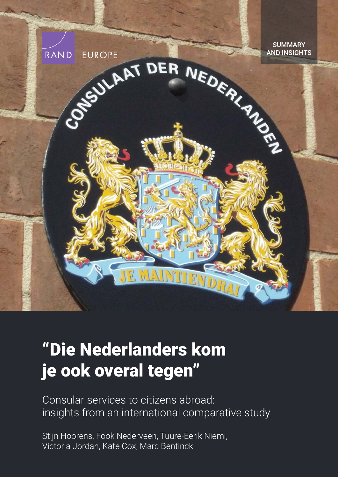

# ["Die Nederlanders kom](https://www.rand.org/pubs/research_reports/RR4288.html)  je ook overal tegen"

Consular services to citizens abroad: insights from an international comparative study

Stijn Hoorens, Fook Nederveen, Tuure-Eerik Niemi, Victoria Jordan, Kate Cox, Marc Bentinck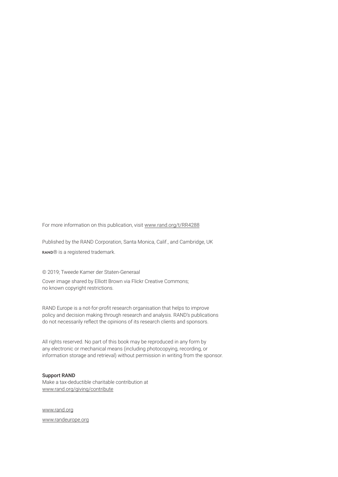For more information on this publication, visit [www.rand.org/t/RR4288](http://www.rand.org/t/RR4288)

Published by the RAND Corporation, Santa Monica, Calif., and Cambridge, UK RAND® is a registered trademark.

© 2019; Tweede Kamer der Staten-Generaal

Cover image shared by Elliott Brown via Flickr Creative Commons; no known copyright restrictions.

RAND Europe is a not-for-profit research organisation that helps to improve policy and decision making through research and analysis. RAND's publications do not necessarily reflect the opinions of its research clients and sponsors.

All rights reserved. No part of this book may be reproduced in any form by any electronic or mechanical means (including photocopying, recording, or information storage and retrieval) without permission in writing from the sponsor.

#### Support RAND

Make a tax-deductible charitable contribution at [www.rand.org/giving/contribute](http://www.rand.org/giving/contribute)

[www.rand.org](http://www.rand.org)

[www.randeurope.org](http://www.randeurope.org)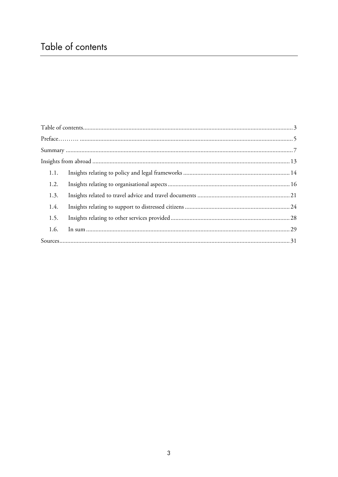## Table of contents

| 1.1. |  |  |
|------|--|--|
| 1.2. |  |  |
| 1.3. |  |  |
| 1.4. |  |  |
| 1.5. |  |  |
| 1.6. |  |  |
|      |  |  |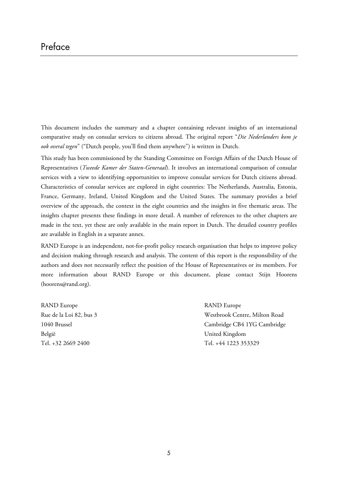This document includes the summary and a chapter containing relevant insights of an international comparative study on consular services to citizens abroad. The original report "*Die Nederlanders kom je ook overal tegen*" ("Dutch people, you'll find them anywhere") is written in Dutch.

This study has been commissioned by the Standing Committee on Foreign Affairs of the Dutch House of Representatives (*Tweede Kamer der Staten-Generaal*). It involves an international comparison of consular services with a view to identifying opportunities to improve consular services for Dutch citizens abroad. Characteristics of consular services are explored in eight countries: The Netherlands, Australia, Estonia, France, Germany, Ireland, United Kingdom and the United States. The summary provides a brief overview of the approach, the context in the eight countries and the insights in five thematic areas. The insights chapter presents these findings in more detail. A number of references to the other chapters are made in the text, yet these are only available in the main report in Dutch. The detailed country profiles are available in English in a separate annex.

RAND Europe is an independent, not-for-profit policy research organisation that helps to improve policy and decision making through research and analysis. The content of this report is the responsibility of the authors and does not necessarily reflect the position of the House of Representatives or its members. For more information about RAND Europe or this document, please contact Stijn Hoorens ([hoorens@rand.org\)](mailto:hoorens@rand.org).

RAND Europe RAND Europe België United Kingdom Tel. +32 2669 2400 Tel. +44 1223 353329

Rue de la Loi 82, bus 3 Westbrook Centre, Milton Road 1040 Brussel Cambridge CB4 1YG Cambridge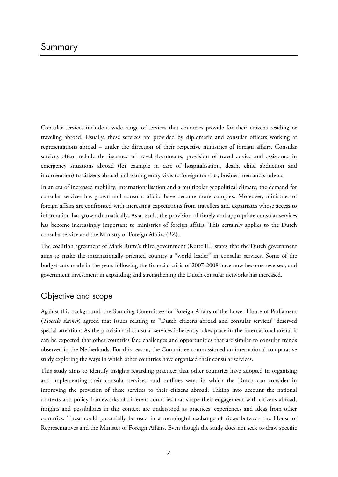Consular services include a wide range of services that countries provide for their citizens residing or traveling abroad. Usually, these services are provided by diplomatic and consular officers working at representations abroad – under the direction of their respective ministries of foreign affairs. Consular services often include the issuance of travel documents, provision of travel advice and assistance in emergency situations abroad (for example in case of hospitalisation, death, child abduction and incarceration) to citizens abroad and issuing entry visas to foreign tourists, businessmen and students.

In an era of increased mobility, internationalisation and a multipolar geopolitical climate, the demand for consular services has grown and consular affairs have become more complex. Moreover, ministries of foreign affairs are confronted with increasing expectations from travellers and expatriates whose access to information has grown dramatically. As a result, the provision of timely and appropriate consular services has become increasingly important to ministries of foreign affairs. This certainly applies to the Dutch consular service and the Ministry of Foreign Affairs (BZ).

The coalition agreement of Mark Rutte's third government (Rutte III) states that the Dutch government aims to make the internationally oriented country a "world leader" in consular services. Some of the budget cuts made in the years following the financial crisis of 2007-2008 have now become reversed, and government investment in expanding and strengthening the Dutch consular networks has increased.

## Objective and scope

Against this background, the Standing Committee for Foreign Affairs of the Lower House of Parliament (*Tweede Kamer*) agreed that issues relating to "Dutch citizens abroad and consular services" deserved special attention. As the provision of consular services inherently takes place in the international arena, it can be expected that other countries face challenges and opportunities that are similar to consular trends observed in the Netherlands. For this reason, the Committee commissioned an international comparative study exploring the ways in which other countries have organised their consular services.

This study aims to identify insights regarding practices that other countries have adopted in organising and implementing their consular services, and outlines ways in which the Dutch can consider in improving the provision of these services to their citizens abroad. Taking into account the national contexts and policy frameworks of different countries that shape their engagement with citizens abroad, insights and possibilities in this context are understood as practices, experiences and ideas from other countries. These could potentially be used in a meaningful exchange of views between the House of Representatives and the Minister of Foreign Affairs. Even though the study does not seek to draw specific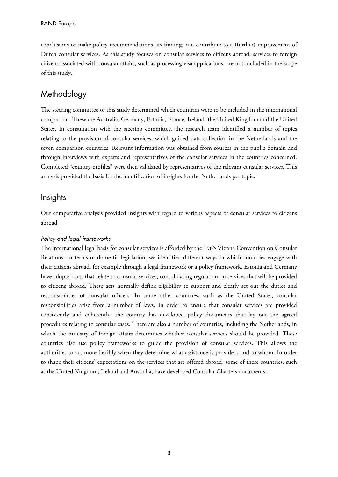conclusions or make policy recommendations, its findings can contribute to a (further) improvement of Dutch consular services. As this study focuses on consular services to citizens abroad, services to foreign citizens associated with consular affairs, such as processing visa applications, are not included in the scope of this study.

## Methodology

The steering committee of this study determined which countries were to be included in the international comparison. These are Australia, Germany, Estonia, France, Ireland, the United Kingdom and the United States. In consultation with the steering committee, the research team identified a number of topics relating to the provision of consular services, which guided data collection in the Netherlands and the seven comparison countries. Relevant information was obtained from sources in the public domain and through interviews with experts and representatives of the consular services in the countries concerned. Completed "country profiles" were then validated by representatives of the relevant consular services. This analysis provided the basis for the identification of insights for the Netherlands per topic.

## **Insights**

Our comparative analysis provided insights with regard to various aspects of consular services to citizens abroad.

#### Policy and legal frameworks

The international legal basis for consular services is afforded by the 1963 Vienna Convention on Consular Relations. In terms of domestic legislation, we identified different ways in which countries engage with their citizens abroad, for example through a legal framework or a policy framework. Estonia and Germany have adopted acts that relate to consular services, consolidating regulation on services that will be provided to citizens abroad. These acts normally define eligibility to support and clearly set out the duties and responsibilities of consular officers. In some other countries, such as the United States, consular responsibilities arise from a number of laws. In order to ensure that consular services are provided consistently and coherently, the country has developed policy documents that lay out the agreed procedures relating to consular cases. There are also a number of countries, including the Netherlands, in which the ministry of foreign affairs determines whether consular services should be provided. These countries also use policy frameworks to guide the provision of consular services. This allows the authorities to act more flexibly when they determine what assistance is provided, and to whom. In order to shape their citizens' expectations on the services that are offered abroad, some of these countries, such as the United Kingdom, Ireland and Australia, have developed Consular Charters documents.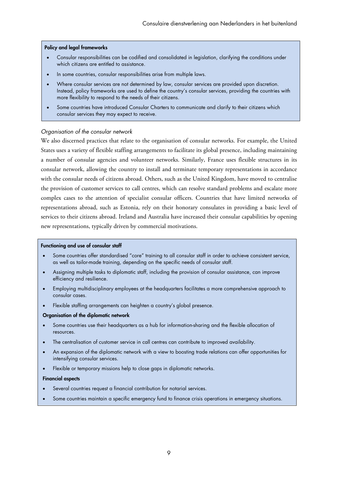#### Policy and legal frameworks

- Consular responsibilities can be codified and consolidated in legislation, clarifying the conditions under which citizens are entitled to assistance.
- In some countries, consular responsibilities arise from multiple laws.
- Where consular services are not determined by law, consular services are provided upon discretion. Instead, policy frameworks are used to define the country's consular services, providing the countries with more flexibility to respond to the needs of their citizens.
- Some countries have introduced Consular Charters to communicate and clarify to their citizens which consular services they may expect to receive.

#### Organisation of the consular network

We also discerned practices that relate to the organisation of consular networks. For example, the United States uses a variety of flexible staffing arrangements to facilitate its global presence, including maintaining a number of consular agencies and volunteer networks. Similarly, France uses flexible structures in its consular network, allowing the country to install and terminate temporary representations in accordance with the consular needs of citizens abroad. Others, such as the United Kingdom, have moved to centralise the provision of customer services to call centres, which can resolve standard problems and escalate more complex cases to the attention of specialist consular officers. Countries that have limited networks of representations abroad, such as Estonia, rely on their honorary consulates in providing a basic level of services to their citizens abroad. Ireland and Australia have increased their consular capabilities by opening new representations, typically driven by commercial motivations.

#### Functioning and use of consular staff

- Some countries offer standardised "core" training to all consular staff in order to achieve consistent service, as well as tailor-made training, depending on the specific needs of consular staff.
- Assigning multiple tasks to diplomatic staff, including the provision of consular assistance, can improve efficiency and resilience.
- Employing multidisciplinary employees at the headquarters facilitates a more comprehensive approach to consular cases.
- Flexible staffing arrangements can heighten a country's global presence.

#### Organisation of the diplomatic network

- Some countries use their headquarters as a hub for information-sharing and the flexible allocation of resources.
- The centralisation of customer service in call centres can contribute to improved availability.
- An expansion of the diplomatic network with a view to boosting trade relations can offer opportunities for intensifying consular services.
- Flexible or temporary missions help to close gaps in diplomatic networks.

#### Financial aspects

- Several countries request a financial contribution for notarial services.
- Some countries maintain a specific emergency fund to finance crisis operations in emergency situations.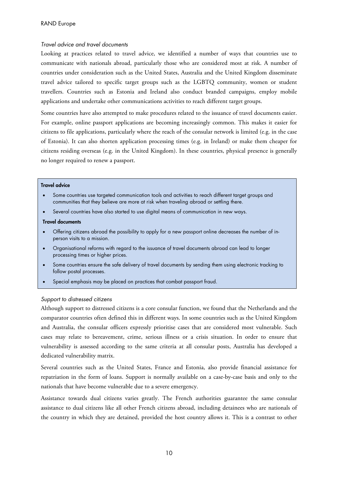#### Travel advice and travel documents

Looking at practices related to travel advice, we identified a number of ways that countries use to communicate with nationals abroad, particularly those who are considered most at risk. A number of countries under consideration such as the United States, Australia and the United Kingdom disseminate travel advice tailored to specific target groups such as the LGBTQ community, women or student travellers. Countries such as Estonia and Ireland also conduct branded campaigns, employ mobile applications and undertake other communications activities to reach different target groups.

Some countries have also attempted to make procedures related to the issuance of travel documents easier. For example, online passport applications are becoming increasingly common. This makes it easier for citizens to file applications, particularly where the reach of the consular network is limited (e.g. in the case of Estonia). It can also shorten application processing times (e.g. in Ireland) or make them cheaper for citizens residing overseas (e.g. in the United Kingdom). In these countries, physical presence is generally no longer required to renew a passport.

#### Travel advice

- Some countries use targeted communication tools and activities to reach different target groups and communities that they believe are more at risk when traveling abroad or settling there.
- Several countries have also started to use digital means of communication in new ways.

#### Travel documents

- Offering citizens abroad the possibility to apply for a new passport online decreases the number of inperson visits to a mission.
- Organisational reforms with regard to the issuance of travel documents abroad can lead to longer processing times or higher prices.
- Some countries ensure the safe delivery of travel documents by sending them using electronic tracking to follow postal processes.
- Special emphasis may be placed on practices that combat passport fraud.

#### Support to distressed citizens

Although support to distressed citizens is a core consular function, we found that the Netherlands and the comparator countries often defined this in different ways. In some countries such as the United Kingdom and Australia, the consular officers expressly prioritise cases that are considered most vulnerable. Such cases may relate to bereavement, crime, serious illness or a crisis situation. In order to ensure that vulnerability is assessed according to the same criteria at all consular posts, Australia has developed a dedicated vulnerability matrix.

Several countries such as the United States, France and Estonia, also provide financial assistance for repatriation in the form of loans. Support is normally available on a case-by-case basis and only to the nationals that have become vulnerable due to a severe emergency.

Assistance towards dual citizens varies greatly. The French authorities guarantee the same consular assistance to dual citizens like all other French citizens abroad, including detainees who are nationals of the country in which they are detained, provided the host country allows it. This is a contrast to other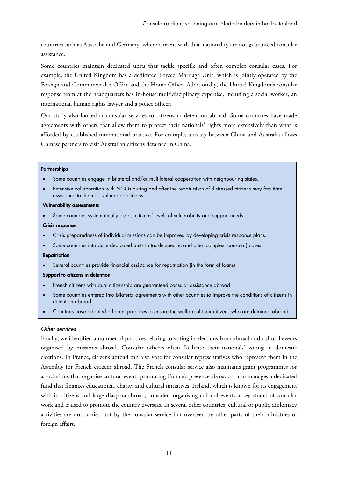countries such as Australia and Germany, where citizens with dual nationality are not guaranteed consular assistance.

Some countries maintain dedicated units that tackle specific and often complex consular cases. For example, the United Kingdom has a dedicated Forced Marriage Unit, which is jointly operated by the Foreign and Commonwealth Office and the Home Office. Additionally, the United Kingdom's consular response team at the headquarters has in-house multidisciplinary expertise, including a social worker, an international human rights lawyer and a police officer.

Our study also looked at consular services to citizens in detention abroad. Some countries have made agreements with others that allow them to protect their nationals' rights more extensively than what is afforded by established international practice. For example, a treaty between China and Australia allows Chinese partners to visit Australian citizens detained in China.

#### **Partnerships**

- Some countries engage in bilateral and/or multilateral cooperation with neighbouring states.
- Extensive collaboration with NGOs during and after the repatriation of distressed citizens may facilitate assistance to the most vulnerable citizens.

#### Vulnerability assessments

Some countries systematically assess citizens' levels of vulnerability and support needs.

#### Crisis response

- Crisis preparedness of individual missions can be improved by developing crisis response plans.
- Some countries introduce dedicated units to tackle specific and often complex (consular) cases.

#### **Repatriation**

Several countries provide financial assistance for repatriation (in the form of loans).

#### Support to citizens in detention

- French citizens with dual citizenship are guaranteed consular assistance abroad.
- Some countries entered into bilateral agreements with other countries to improve the conditions of citizens in detention abroad.
- Countries have adopted different practices to ensure the welfare of their citizens who are detained abroad.

#### Other services

Finally, we identified a number of practices relating to voting in elections from abroad and cultural events organised by missions abroad. Consular officers often facilitate their nationals' voting in domestic elections. In France, citizens abroad can also vote for consular representatives who represent them in the Assembly for French citizens abroad. The French consular service also maintains grant programmes for associations that organise cultural events promoting France's presence abroad. It also manages a dedicated fund that finances educational, charity and cultural initiatives. Ireland, which is known for its engagement with its citizens and large diaspora abroad, considers organising cultural events a key strand of consular work and is used to promote the country overseas. In several other countries, cultural or public diplomacy activities are not carried out by the consular service but overseen by other parts of their ministries of foreign affairs.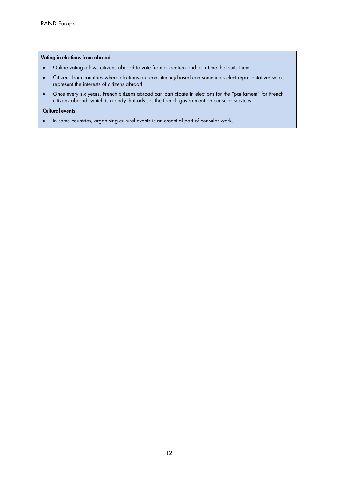#### Voting in elections from abroad

- Online voting allows citizens abroad to vote from a location and at a time that suits them.
- Citizens from countries where elections are constituency-based can sometimes elect representatives who represent the interests of citizens abroad.
- Once every six years, French citizens abroad can participate in elections for the "parliament" for French citizens abroad, which is a body that advises the French government on consular services.

#### Cultural events

In some countries, organising cultural events is an essential part of consular work.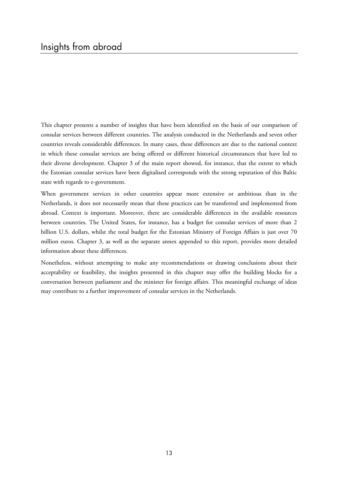This chapter presents a number of insights that have been identified on the basis of our comparison of consular services between different countries. The analysis conducted in the Netherlands and seven other countries reveals considerable differences. In many cases, these differences are due to the national context in which these consular services are being offered or different historical circumstances that have led to their diverse development. Chapter 3 of the main report showed, for instance, that the extent to which the Estonian consular services have been digitalised corresponds with the strong reputation of this Baltic state with regards to e-government.

When government services in other countries appear more extensive or ambitious than in the Netherlands, it does not necessarily mean that these practices can be transferred and implemented from abroad. Context is important. Moreover, there are considerable differences in the available resources between countries. The United States, for instance, has a budget for consular services of more than 2 billion U.S. dollars, whilst the total budget for the Estonian Ministry of Foreign Affairs is just over 70 million euros. Chapter 3, as well as the separate annex appended to this report, provides more detailed information about these differences.

Nonetheless, without attempting to make any recommendations or drawing conclusions about their acceptability or feasibility, the insights presented in this chapter may offer the building blocks for a conversation between parliament and the minister for foreign affairs. This meaningful exchange of ideas may contribute to a further improvement of consular services in the Netherlands.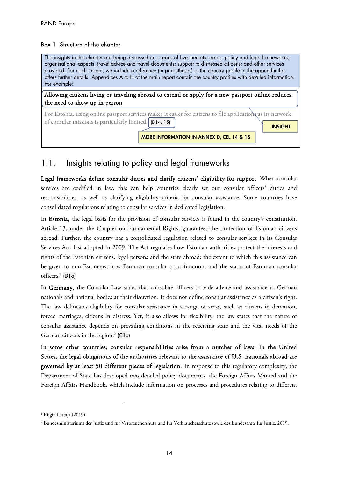#### Box 1. Structure of the chapter

The insights in this chapter are being discussed in a series of five thematic areas: policy and legal frameworks; organisational aspects; travel advice and travel documents; support to distressed citizens; and other services provided. For each insight, we include a reference (in parentheses) to the country profile in the appendix that offers further details. Appendices A to H of the main report contain the country profiles with detailed information. For example:

Allowing citizens living or traveling abroad to extend or apply for a new passport online reduces the need to show up in person

For Estonia, using online passport services makes it easier for citizens to file applications as its network of consular missions is particularly limited.  $(D14, 15)$ 

MORE INFORMATION IN ANNEX D, CEL 14 & 15

INSIGHT

## 1.1. Insights relating to policy and legal frameworks

Legal frameworks define consular duties and clarify citizens' eligibility for support. When consular services are codified in law, this can help countries clearly set out consular officers' duties and responsibilities, as well as clarifying eligibility criteria for consular assistance. Some countries have consolidated regulations relating to consular services in dedicated legislation.

In Estonia, the legal basis for the provision of consular services is found in the country's constitution. Article 13, under the Chapter on Fundamental Rights, guarantees the protection of Estonian citizens abroad. Further, the country has a consolidated regulation related to consular services in its Consular Services Act, last adopted in 2009. The Act regulates how Estonian authorities protect the interests and rights of the Estonian citizens, legal persons and the state abroad; the extent to which this assistance can be given to non-Estonians; how Estonian consular posts function; and the status of Estonian consular officers.<sup>1</sup> (D1a)

In Germany, the Consular Law states that consulate officers provide advice and assistance to German nationals and national bodies at their discretion. It does not define consular assistance as a citizen's right. The law delineates eligibility for consular assistance in a range of areas, such as citizens in detention, forced marriages, citizens in distress. Yet, it also allows for flexibility: the law states that the nature of consular assistance depends on prevailing conditions in the receiving state and the vital needs of the German citizens in the region.<sup>2</sup> (C1a)

In some other countries, consular responsibilities arise from a number of laws. In the United States, the legal obligations of the authorities relevant to the assistance of U.S. nationals abroad are governed by at least 50 different pieces of legislation. In response to this regulatory complexity, the Department of State has developed two detailed policy documents, the Foreign Affairs Manual and the Foreign Affairs Handbook, which include information on processes and procedures relating to different

<sup>&</sup>lt;sup>1</sup> Riigit Teataja (2019)

<sup>2</sup> Bundesministeriums der Justiz und fur Verbrauchershutz und fur Verbraucherschutz sowie des Bundesamts fur Justiz. 2019.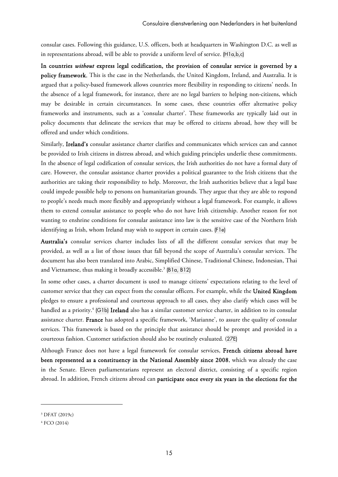consular cases. Following this guidance, U.S. officers, both at headquarters in Washington D.C. as well as in representations abroad, will be able to provide a uniform level of service. (H1a,b,c)

In countries *without* express legal codification, the provision of consular service is governed by a policy framework. This is the case in the Netherlands, the United Kingdom, Ireland, and Australia. It is argued that a policy-based framework allows countries more flexibility in responding to citizens' needs. In the absence of a legal framework, for instance, there are no legal barriers to helping non-citizens, which may be desirable in certain circumstances. In some cases, these countries offer alternative policy frameworks and instruments, such as a 'consular charter'. These frameworks are typically laid out in policy documents that delineate the services that may be offered to citizens abroad, how they will be offered and under which conditions.

Similarly, Ireland's consular assistance charter clarifies and communicates which services can and cannot be provided to Irish citizens in distress abroad, and which guiding principles underlie these commitments. In the absence of legal codification of consular services, the Irish authorities do not have a formal duty of care. However, the consular assistance charter provides a political guarantee to the Irish citizens that the authorities are taking their responsibility to help. Moreover, the Irish authorities believe that a legal base could impede possible help to persons on humanitarian grounds. They argue that they are able to respond to people's needs much more flexibly and appropriately without a legal framework. For example, it allows them to extend consular assistance to people who do not have Irish citizenship. Another reason for not wanting to enshrine conditions for consular assistance into law is the sensitive case of the Northern Irish identifying as Irish, whom Ireland may wish to support in certain cases. (F1e)

Australia's consular services charter includes lists of all the different consular services that may be provided, as well as a list of those issues that fall beyond the scope of Australia's consular services. The document has also been translated into Arabic, Simplified Chinese, Traditional Chinese, Indonesian, Thai and Vietnamese, thus making it broadly accessible.<sup>3</sup> (B1 $\alpha$ , B12)

In some other cases, a charter document is used to manage citizens' expectations relating to the level of customer service that they can expect from the consular officers. For example, while the United Kingdom pledges to ensure a professional and courteous approach to all cases, they also clarify which cases will be handled as a priority.<sup>4</sup> (G1b) Ireland also has a similar customer service charter, in addition to its consular assistance charter. France has adopted a specific framework, 'Marianne', to assure the quality of consular services. This framework is based on the principle that assistance should be prompt and provided in a courteous fashion. Customer satisfaction should also be routinely evaluated. (27E)

Although France does not have a legal framework for consular services, French citizens abroad have been represented as a constituency in the National Assembly since 2008, which was already the case in the Senate. Eleven parliamentarians represent an electoral district, consisting of a specific region abroad. In addition, French citizens abroad can participate once every six years in the elections for the

<sup>3</sup> DFAT (2019c)

<sup>4</sup> FCO (2014)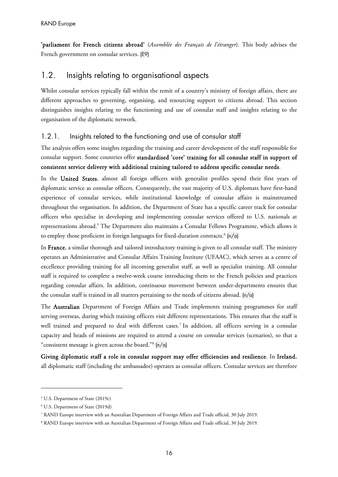'parliament for French citizens abroad' (*Assemblée des Français de l'étranger*). This body advises the French government on consular services. (E9)

## 1.2. Insights relating to organisational aspects

Whilst consular services typically fall within the remit of a country's ministry of foreign affairs, there are different approaches to governing, organising, and resourcing support to citizens abroad. This section distinguishes insights relating to the functioning and use of consular staff and insights relating to the organisation of the diplomatic network.

#### 1.2.1. Insights related to the functioning and use of consular staff

The analysis offers some insights regarding the training and career development of the staff responsible for consular support. Some countries offer standardised 'core' training for all consular staff in support of consistent service delivery with additional training tailored to address specific consular needs.

In the United States, almost all foreign officers with generalist profiles spend their first years of diplomatic service as consular officers. Consequently, the vast majority of U.S. diplomats have first-hand experience of consular services, while institutional knowledge of consular affairs is mainstreamed throughout the organisation. In addition, the Department of State has a specific career track for consular officers who specialise in developing and implementing consular services offered to U.S. nationals at representations abroad.<sup>5</sup> The Department also maintains a Consular Fellows Programme, which allows it to employ those proficient in foreign languages for fixed-duration contracts.<sup>6</sup>  $(n/a)$ 

In France, a similar thorough and tailored introductory training is given to all consular staff. The ministry operates an Administrative and Consular Affairs Training Institute (UFAAC), which serves as a centre of excellence providing training for all incoming generalist staff, as well as specialist training. All consular staff is required to complete a twelve-week course introducing them to the French policies and practices regarding consular affairs. In addition, continuous movement between under-departments ensures that the consular staff is trained in all matters pertaining to the needs of citizens abroad. (n/a)

The Australian Department of Foreign Affairs and Trade implements training programmes for staff serving overseas, during which training officers visit different representations. This ensures that the staff is well trained and prepared to deal with different cases.<sup>7</sup> In addition, all officers serving in a consular capacity and heads of missions are required to attend a course on consular services (scenarios), so that a "consistent message is given across the board."8 (n/a)

Giving diplomatic staff a role in consular support may offer efficiencies and resilience. In Ireland, all diplomatic staff (including the ambassador) operates as consular officers. Consular services are therefore

<sup>5</sup> U.S. Department of State (2019c)

<sup>6</sup> U.S. Department of State (2019d)

<sup>7</sup> RAND Europe interview with an Australian Department of Foreign Affairs and Trade official, 30 July 2019.

<sup>8</sup> RAND Europe interview with an Australian Department of Foreign Affairs and Trade official, 30 July 2019.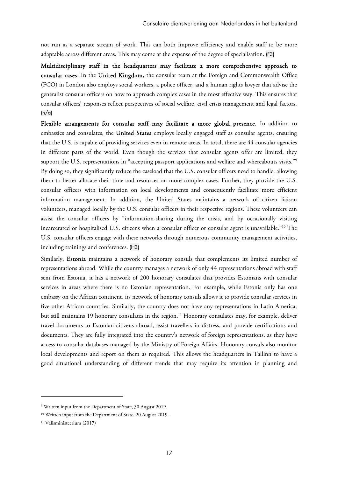not run as a separate stream of work. This can both improve efficiency and enable staff to be more adaptable across different areas. This may come at the expense of the degree of specialisation. (F3)

Multidisciplinary staff in the headquarters may facilitate a more comprehensive approach to consular cases. In the United Kingdom, the consular team at the Foreign and Commonwealth Office (FCO) in London also employs social workers, a police officer, and a human rights lawyer that advise the generalist consular officers on how to approach complex cases in the most effective way. This ensures that consular officers' responses reflect perspectives of social welfare, civil crisis management and legal factors.  $(n/a)$ 

Flexible arrangements for consular staff may facilitate a more global presence. In addition to embassies and consulates, the United States employs locally engaged staff as consular agents, ensuring that the U.S. is capable of providing services even in remote areas. In total, there are 44 consular agencies in different parts of the world. Even though the services that consular agents offer are limited, they support the U.S. representations in "accepting passport applications and welfare and whereabouts visits."<sup>9</sup> By doing so, they significantly reduce the caseload that the U.S. consular officers need to handle, allowing them to better allocate their time and resources on more complex cases. Further, they provide the U.S. consular officers with information on local developments and consequently facilitate more efficient information management. In addition, the United States maintains a network of citizen liaison volunteers, managed locally by the U.S. consular officers in their respective regions. These volunteers can assist the consular officers by "information-sharing during the crisis, and by occasionally visiting incarcerated or hospitalised U.S. citizens when a consular officer or consular agent is unavailable."10 The U.S. consular officers engage with these networks through numerous community management activities, including trainings and conferences. (H3)

Similarly, Estonia maintains a network of honorary consuls that complements its limited number of representations abroad. While the country manages a network of only 44 representations abroad with staff sent from Estonia, it has a network of 200 honorary consulates that provides Estonians with consular services in areas where there is no Estonian representation. For example, while Estonia only has one embassy on the African continent, its network of honorary consuls allows it to provide consular services in five other African countries. Similarly, the country does not have any representations in Latin America, but still maintains 19 honorary consulates in the region.<sup>11</sup> Honorary consulates may, for example, deliver travel documents to Estonian citizens abroad, assist travellers in distress, and provide certifications and documents. They are fully integrated into the country's network of foreign representations, as they have access to consular databases managed by the Ministry of Foreign Affairs. Honorary consuls also monitor local developments and report on them as required. This allows the headquarters in Tallinn to have a good situational understanding of different trends that may require its attention in planning and

<sup>9</sup> Written input from the Department of State, 30 August 2019.

<sup>&</sup>lt;sup>10</sup> Written input from the Department of State, 20 August 2019.

<sup>11</sup> Valisministeerium (2017)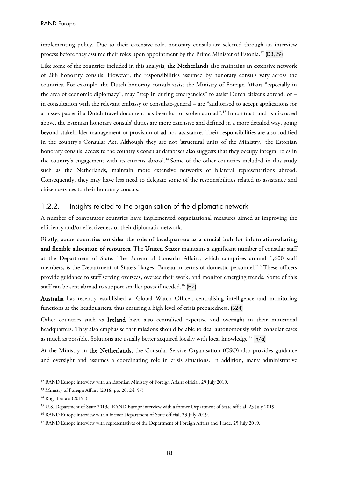implementing policy. Due to their extensive role, honorary consuls are selected through an interview process before they assume their roles upon appointment by the Prime Minister of Estonia.<sup>12</sup> (D3,29)

Like some of the countries included in this analysis, the Netherlands also maintains an extensive network of 288 honorary consuls. However, the responsibilities assumed by honorary consuls vary across the countries. For example, the Dutch honorary consuls assist the Ministry of Foreign Affairs "especially in the area of economic diplomacy", may "step in during emergencies" to assist Dutch citizens abroad, or – in consultation with the relevant embassy or consulate-general – are "authorised to accept applications for a laissez-passer if a Dutch travel document has been lost or stolen abroad".13 In contrast, and as discussed above, the Estonian honorary consuls' duties are more extensive and defined in a more detailed way, going beyond stakeholder management or provision of ad hoc assistance. Their responsibilities are also codified in the country's Consular Act. Although they are not 'structural units of the Ministry,' the Estonian honorary consuls' access to the country's consular databases also suggests that they occupy integral roles in the country's engagement with its citizens abroad.14 Some of the other countries included in this study such as the Netherlands, maintain more extensive networks of bilateral representations abroad. Consequently, they may have less need to delegate some of the responsibilities related to assistance and citizen services to their honorary consuls.

#### 1.2.2. Insights related to the organisation of the diplomatic network

A number of comparator countries have implemented organisational measures aimed at improving the efficiency and/or effectiveness of their diplomatic network.

Firstly, some countries consider the role of headquarters as a crucial hub for information-sharing and flexible allocation of resources. The United States maintains a significant number of consular staff at the Department of State. The Bureau of Consular Affairs, which comprises around 1,600 staff members, is the Department of State's "largest Bureau in terms of domestic personnel."15 These officers provide guidance to staff serving overseas, oversee their work, and monitor emerging trends. Some of this staff can be sent abroad to support smaller posts if needed.<sup>16</sup> (H2)

Australia has recently established a 'Global Watch Office', centralising intelligence and monitoring functions at the headquarters, thus ensuring a high level of crisis preparedness. (B24)

Other countries such as Ireland have also centralised expertise and oversight in their ministerial headquarters. They also emphasise that missions should be able to deal autonomously with consular cases as much as possible. Solutions are usually better acquired locally with local knowledge.<sup>17</sup> ( $n/a$ )

At the Ministry in the Netherlands, the Consular Service Organisation (CSO) also provides guidance and oversight and assumes a coordinating role in crisis situations. In addition, many administrative

<sup>&</sup>lt;sup>12</sup> RAND Europe interview with an Estonian Ministry of Foreign Affairs official, 29 July 2019.

<sup>&</sup>lt;sup>13</sup> Ministry of Foreign Affairs (2018, pp. 20, 24, 57)

<sup>&</sup>lt;sup>14</sup> Riigi Teataja (2019a)

<sup>15</sup> U.S. Department of State 2019e; RAND Europe interview with a former Department of State official, 23 July 2019.

<sup>&</sup>lt;sup>16</sup> RAND Europe interview with a former Department of State official, 23 July 2019.

<sup>&</sup>lt;sup>17</sup> RAND Europe interview with representatives of the Department of Foreign Affairs and Trade, 25 July 2019.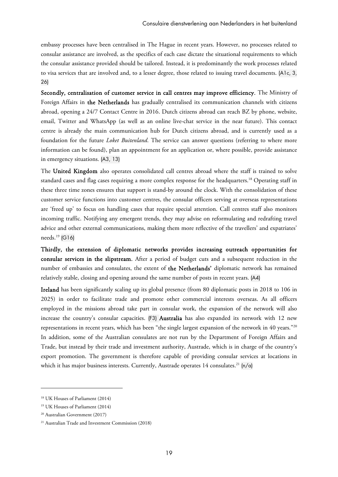embassy processes have been centralised in The Hague in recent years. However, no processes related to consular assistance are involved, as the specifics of each case dictate the situational requirements to which the consular assistance provided should be tailored. Instead, it is predominantly the work processes related to visa services that are involved and, to a lesser degree, those related to issuing travel documents. (A1c, 3, 26)

Secondly, centralisation of customer service in call centres may improve efficiency. The Ministry of Foreign Affairs in the Netherlands has gradually centralised its communication channels with citizens abroad, opening a 24/7 Contact Centre in 2016. Dutch citizens abroad can reach BZ by phone, website, email, Twitter and WhatsApp (as well as an online live-chat service in the near future). This contact centre is already the main communication hub for Dutch citizens abroad, and is currently used as a foundation for the future *Loket Buitenland*. The service can answer questions (referring to where more information can be found), plan an appointment for an application or, where possible, provide assistance in emergency situations. (A3, 13)

The United Kingdom also operates consolidated call centres abroad where the staff is trained to solve standard cases and flag cases requiring a more complex response for the headquarters.18 Operating staff in these three time zones ensures that support is stand-by around the clock. With the consolidation of these customer service functions into customer centres, the consular officers serving at overseas representations are 'freed up' to focus on handling cases that require special attention. Call centres staff also monitors incoming traffic. Notifying any emergent trends, they may advise on reformulating and redrafting travel advice and other external communications, making them more reflective of the travellers' and expatriates' needs.19 (G16)

Thirdly, the extension of diplomatic networks provides increasing outreach opportunities for consular services in the slipstream. After a period of budget cuts and a subsequent reduction in the number of embassies and consulates, the extent of the Netherlands' diplomatic network has remained relatively stable, closing and opening around the same number of posts in recent years. (A4)

Ireland has been significantly scaling up its global presence (from 80 diplomatic posts in 2018 to 106 in 2025) in order to facilitate trade and promote other commercial interests overseas. As all officers employed in the missions abroad take part in consular work, the expansion of the network will also increase the country's consular capacities. (F3) Australia has also expanded its network with 12 new representations in recent years, which has been "the single largest expansion of the network in 40 years."20 In addition, some of the Australian consulates are not run by the Department of Foreign Affairs and Trade, but instead by their trade and investment authority, Austrade, which is in charge of the country's export promotion. The government is therefore capable of providing consular services at locations in which it has major business interests. Currently, Austrade operates 14 consulates.<sup>21</sup>  $\lfloor n/a \rfloor$ 

<sup>18</sup> UK Houses of Parliament (2014)

<sup>19</sup> UK Houses of Parliament (2014)

<sup>20</sup> Australian Government (2017)

<sup>21</sup> Australian Trade and Investment Commission (2018)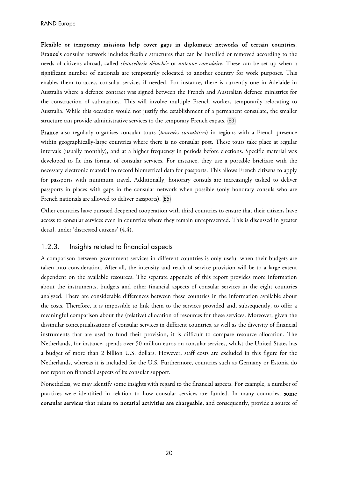Flexible or temporary missions help cover gaps in diplomatic networks of certain countries. France's consular network includes flexible structures that can be installed or removed according to the needs of citizens abroad, called *chancellerie détachée* or *antenne consulaire*. These can be set up when a significant number of nationals are temporarily relocated to another country for work purposes. This enables them to access consular services if needed. For instance, there is currently one in Adelaide in Australia where a defence contract was signed between the French and Australian defence ministries for the construction of submarines. This will involve multiple French workers temporarily relocating to Australia. While this occasion would not justify the establishment of a permanent consulate, the smaller structure can provide administrative services to the temporary French expats. (E3)

France also regularly organises consular tours (*tournées consulaires*) in regions with a French presence within geographically-large countries where there is no consular post. These tours take place at regular intervals (usually monthly), and at a higher frequency in periods before elections. Specific material was developed to fit this format of consular services. For instance, they use a portable briefcase with the necessary electronic material to record biometrical data for passports. This allows French citizens to apply for passports with minimum travel. Additionally, honorary consuls are increasingly tasked to deliver passports in places with gaps in the consular network when possible (only honorary consuls who are French nationals are allowed to deliver passports). (E5)

Other countries have pursued deepened cooperation with third countries to ensure that their citizens have access to consular services even in countries where they remain unrepresented. This is discussed in greater detail, under 'distressed citizens' (4.4).

#### 1.2.3. Insights related to financial aspects

A comparison between government services in different countries is only useful when their budgets are taken into consideration. After all, the intensity and reach of service provision will be to a large extent dependent on the available resources. The separate appendix of this report provides more information about the instruments, budgets and other financial aspects of consular services in the eight countries analysed. There are considerable differences between these countries in the information available about the costs. Therefore, it is impossible to link them to the services provided and, subsequently, to offer a meaningful comparison about the (relative) allocation of resources for these services. Moreover, given the dissimilar conceptualisations of consular services in different countries, as well as the diversity of financial instruments that are used to fund their provision, it is difficult to compare resource allocation. The Netherlands, for instance, spends over 50 million euros on consular services, whilst the United States has a budget of more than 2 billion U.S. dollars. However, staff costs are excluded in this figure for the Netherlands, whereas it is included for the U.S. Furthermore, countries such as Germany or Estonia do not report on financial aspects of its consular support.

Nonetheless, we may identify some insights with regard to the financial aspects. For example, a number of practices were identified in relation to how consular services are funded. In many countries, some consular services that relate to notarial activities are chargeable, and consequently, provide a source of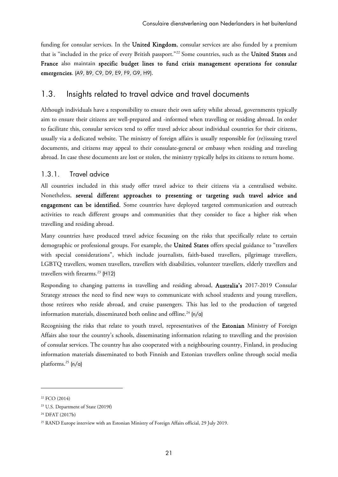funding for consular services. In the United Kingdom, consular services are also funded by a premium that is "included in the price of every British passport."22 Some countries, such as the United States and France also maintain specific budget lines to fund crisis management operations for consular emergencies. (A9, B9, C9, D9, E9, F9, G9, H9).

## 1.3. Insights related to travel advice and travel documents

Although individuals have a responsibility to ensure their own safety whilst abroad, governments typically aim to ensure their citizens are well-prepared and -informed when travelling or residing abroad. In order to facilitate this, consular services tend to offer travel advice about individual countries for their citizens, usually via a dedicated website. The ministry of foreign affairs is usually responsible for (re)issuing travel documents, and citizens may appeal to their consulate-general or embassy when residing and traveling abroad. In case these documents are lost or stolen, the ministry typically helps its citizens to return home.

## 1.3.1. Travel advice

All countries included in this study offer travel advice to their citizens via a centralised website. Nonetheless, several different approaches to presenting or targeting such travel advice and engagement can be identified. Some countries have deployed targeted communication and outreach activities to reach different groups and communities that they consider to face a higher risk when travelling and residing abroad.

Many countries have produced travel advice focussing on the risks that specifically relate to certain demographic or professional groups. For example, the United States offers special guidance to "travellers with special considerations", which include journalists, faith-based travellers, pilgrimage travellers, LGBTQ travellers, women travellers, travellers with disabilities, volunteer travellers, elderly travellers and travellers with firearms. $^{23}$  (H12)

Responding to changing patterns in travelling and residing abroad, Australia's 2017-2019 Consular Strategy stresses the need to find new ways to communicate with school students and young travellers, those retirees who reside abroad, and cruise passengers. This has led to the production of targeted information materials, disseminated both online and offline.<sup>24</sup> (n/a)

Recognising the risks that relate to youth travel, representatives of the Estonian Ministry of Foreign Affairs also tour the country's schools, disseminating information relating to travelling and the provision of consular services. The country has also cooperated with a neighbouring country, Finland, in producing information materials disseminated to both Finnish and Estonian travellers online through social media platforms.<sup>25</sup>  $ln/a$ 

<sup>22</sup> FCO (2014)

<sup>23</sup> U.S. Department of State (2019f)

<sup>24</sup> DFAT (2017b)

<sup>&</sup>lt;sup>25</sup> RAND Europe interview with an Estonian Ministry of Foreign Affairs official, 29 July 2019.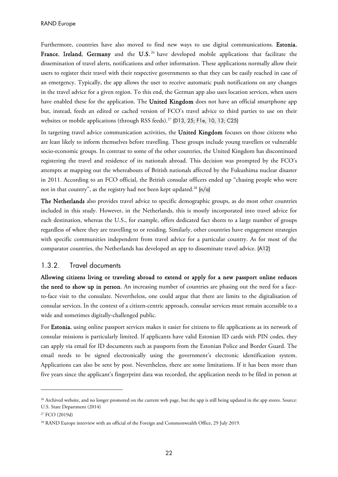Furthermore, countries have also moved to find new ways to use digital communications. Estonia, France, Ireland, Germany and the U.S.<sup>26</sup> have developed mobile applications that facilitate the dissemination of travel alerts, notifications and other information. These applications normally allow their users to register their travel with their respective governments so that they can be easily reached in case of an emergency. Typically, the app allows the user to receive automatic push notifications on any changes in the travel advice for a given region. To this end, the German app also uses location services, when users have enabled these for the application. The United Kingdom does not have an official smartphone app but, instead, feeds an edited or cached version of FCO's travel advice to third parties to use on their websites or mobile applications (through RSS feeds).<sup>27</sup> (D13, 25; F1e, 10, 13; C25)

In targeting travel advice communication activities, the United Kingdom focuses on those citizens who are least likely to inform themselves before travelling. These groups include young travellers or vulnerable socio-economic groups. In contrast to some of the other countries, the United Kingdom has discontinued registering the travel and residence of its nationals abroad. This decision was prompted by the FCO's attempts at mapping out the whereabouts of British nationals affected by the Fukushima nuclear disaster in 2011. According to an FCO official, the British consular officers ended up "chasing people who were not in that country", as the registry had not been kept updated.<sup>28</sup>  $(n/a)$ 

The Netherlands also provides travel advice to specific demographic groups, as do most other countries included in this study. However, in the Netherlands, this is mostly incorporated into travel advice for each destination, whereas the U.S., for example, offers dedicated fact sheets to a large number of groups regardless of where they are travelling to or residing. Similarly, other countries have engagement strategies with specific communities independent from travel advice for a particular country. As for most of the comparator countries, the Netherlands has developed an app to disseminate travel advice. (A12)

#### 1.3.2. Travel documents

Allowing citizens living or traveling abroad to extend or apply for a new passport online reduces the need to show up in person. An increasing number of countries are phasing out the need for a faceto-face visit to the consulate. Nevertheless, one could argue that there are limits to the digitalisation of consular services. In the context of a citizen-centric approach, consular services must remain accessible to a wide and sometimes digitally-challenged public.

For Estonia, using online passport services makes it easier for citizens to file applications as its network of consular missions is particularly limited. If applicants have valid Estonian ID cards with PIN codes, they can apply via email for ID documents such as passports from the Estonian Police and Border Guard. The email needs to be signed electronically using the government's electronic identification system. Applications can also be sent by post. Nevertheless, there are some limitations. If it has been more than five years since the applicant's fingerprint data was recorded, the application needs to be filed in person at

<sup>&</sup>lt;sup>26</sup> Archived website, and no longer promoted on the current web page, but the app is still being updated in the app stores. Source: U.S. State Department (2014)

<sup>27</sup> FCO (2019d)

<sup>&</sup>lt;sup>28</sup> RAND Europe interview with an official of the Foreign and Commonwealth Office, 29 July 2019.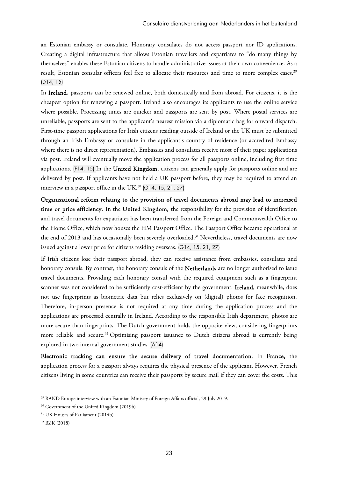an Estonian embassy or consulate. Honorary consulates do not access passport nor ID applications. Creating a digital infrastructure that allows Estonian travellers and expatriates to "do many things by themselves" enables these Estonian citizens to handle administrative issues at their own convenience. As a result, Estonian consular officers feel free to allocate their resources and time to more complex cases.<sup>29</sup> (D14, 15)

In Ireland, passports can be renewed online, both domestically and from abroad. For citizens, it is the cheapest option for renewing a passport. Ireland also encourages its applicants to use the online service where possible. Processing times are quicker and passports are sent by post. Where postal services are unreliable, passports are sent to the applicant's nearest mission via a diplomatic bag for onward dispatch. First-time passport applications for Irish citizens residing outside of Ireland or the UK must be submitted through an Irish Embassy or consulate in the applicant's country of residence (or accredited Embassy where there is no direct representation). Embassies and consulates receive most of their paper applications via post. Ireland will eventually move the application process for all passports online, including first time applications. (F14, 15) In the United Kingdom, citizens can generally apply for passports online and are delivered by post. If applicants have not held a UK passport before, they may be required to attend an interview in a passport office in the UK. $^{30}$  (G14, 15, 21, 27)

Organisational reform relating to the provision of travel documents abroad may lead to increased time or price efficiency. In the United Kingdom, the responsibility for the provision of identification and travel documents for expatriates has been transferred from the Foreign and Commonwealth Office to the Home Office, which now houses the HM Passport Office. The Passport Office became operational at the end of 2013 and has occasionally been severely overloaded.<sup>31</sup> Nevertheless, travel documents are now issued against a lower price for citizens residing overseas. (G14, 15, 21, 27)

If Irish citizens lose their passport abroad, they can receive assistance from embassies, consulates and honorary consuls. By contrast, the honorary consuls of the Netherlands are no longer authorised to issue travel documents. Providing each honorary consul with the required equipment such as a fingerprint scanner was not considered to be sufficiently cost-efficient by the government. Ireland, meanwhile, does not use fingerprints as biometric data but relies exclusively on (digital) photos for face recognition. Therefore, in-person presence is not required at any time during the application process and the applications are processed centrally in Ireland. According to the responsible Irish department, photos are more secure than fingerprints. The Dutch government holds the opposite view, considering fingerprints more reliable and secure.<sup>32</sup> Optimising passport issuance to Dutch citizens abroad is currently being explored in two internal government studies. (A14)

Electronic tracking can ensure the secure delivery of travel documentation. In France, the application process for a passport always requires the physical presence of the applicant. However, French citizens living in some countries can receive their passports by secure mail if they can cover the costs. This

<sup>29</sup> RAND Europe interview with an Estonian Ministry of Foreign Affairs official, 29 July 2019.

<sup>30</sup> Government of the United Kingdom (2019b)

<sup>&</sup>lt;sup>31</sup> UK Houses of Parliament (2014b)

<sup>32</sup> BZK (2018)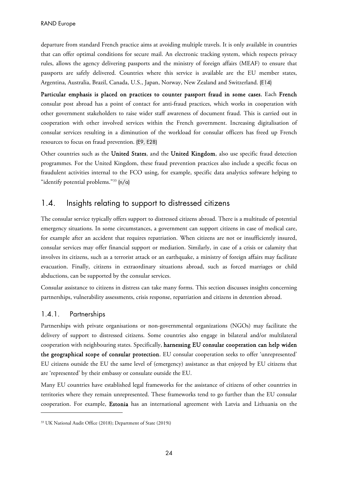departure from standard French practice aims at avoiding multiple travels. It is only available in countries that can offer optimal conditions for secure mail. An electronic tracking system, which respects privacy rules, allows the agency delivering passports and the ministry of foreign affairs (MEAF) to ensure that passports are safely delivered. Countries where this service is available are the EU member states, Argentina, Australia, Brazil, Canada, U.S., Japan, Norway, New Zealand and Switzerland. (E14)

Particular emphasis is placed on practices to counter passport fraud in some cases. Each French consular post abroad has a point of contact for anti-fraud practices, which works in cooperation with other government stakeholders to raise wider staff awareness of document fraud. This is carried out in cooperation with other involved services within the French government. Increasing digitalisation of consular services resulting in a diminution of the workload for consular officers has freed up French resources to focus on fraud prevention. (E9, E28)

Other countries such as the United States, and the United Kingdom, also use specific fraud detection programmes. For the United Kingdom, these fraud prevention practices also include a specific focus on fraudulent activities internal to the FCO using, for example, specific data analytics software helping to "identify potential problems."33 (n/a)

## 1.4. Insights relating to support to distressed citizens

The consular service typically offers support to distressed citizens abroad. There is a multitude of potential emergency situations. In some circumstances, a government can support citizens in case of medical care, for example after an accident that requires repatriation. When citizens are not or insufficiently insured, consular services may offer financial support or mediation. Similarly, in case of a crisis or calamity that involves its citizens, such as a terrorist attack or an earthquake, a ministry of foreign affairs may facilitate evacuation. Finally, citizens in extraordinary situations abroad, such as forced marriages or child abductions, can be supported by the consular services.

Consular assistance to citizens in distress can take many forms. This section discusses insights concerning partnerships, vulnerability assessments, crisis response, repatriation and citizens in detention abroad.

#### 1.4.1. Partnerships

-

Partnerships with private organisations or non-governmental organizations (NGOs) may facilitate the delivery of support to distressed citizens. Some countries also engage in bilateral and/or multilateral cooperation with neighbouring states. Specifically, harnessing EU consular cooperation can help widen the geographical scope of consular protection. EU consular cooperation seeks to offer 'unrepresented' EU citizens outside the EU the same level of (emergency) assistance as that enjoyed by EU citizens that are 'represented' by their embassy or consulate outside the EU.

Many EU countries have established legal frameworks for the assistance of citizens of other countries in territories where they remain unrepresented. These frameworks tend to go further than the EU consular cooperation. For example, Estonia has an international agreement with Latvia and Lithuania on the

<sup>33</sup> UK National Audit Office (2018); Department of State (2019i)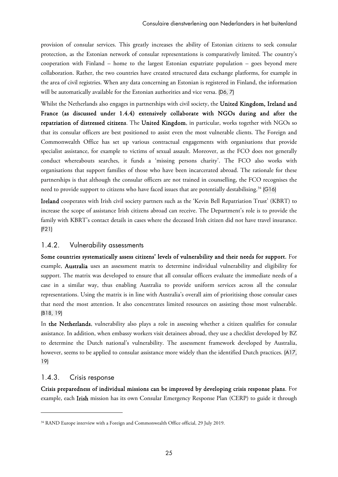provision of consular services. This greatly increases the ability of Estonian citizens to seek consular protection, as the Estonian network of consular representations is comparatively limited. The country's cooperation with Finland – home to the largest Estonian expatriate population – goes beyond mere collaboration. Rather, the two countries have created structured data exchange platforms, for example in the area of civil registries. When any data concerning an Estonian is registered in Finland, the information will be automatically available for the Estonian authorities and vice versa. (D6, 7)

Whilst the Netherlands also engages in partnerships with civil society, the United Kingdom, Ireland and France (as discussed under 1.4.4) extensively collaborate with NGOs during and after the repatriation of distressed citizens. The United Kingdom, in particular, works together with NGOs so that its consular officers are best positioned to assist even the most vulnerable clients. The Foreign and Commonwealth Office has set up various contractual engagements with organisations that provide specialist assistance, for example to victims of sexual assault. Moreover, as the FCO does not generally conduct whereabouts searches, it funds a 'missing persons charity'. The FCO also works with organisations that support families of those who have been incarcerated abroad. The rationale for these partnerships is that although the consular officers are not trained in counselling, the FCO recognises the need to provide support to citizens who have faced issues that are potentially destabilising.34 (G16)

Ireland cooperates with Irish civil society partners such as the 'Kevin Bell Repatriation Trust' (KBRT) to increase the scope of assistance Irish citizens abroad can receive. The Department's role is to provide the family with KBRT's contact details in cases where the deceased Irish citizen did not have travel insurance. (F21)

#### 1.4.2. Vulnerability assessments

Some countries systematically assess citizens' levels of vulnerability and their needs for support. For example, Australia uses an assessment matrix to determine individual vulnerability and eligibility for support. The matrix was developed to ensure that all consular officers evaluate the immediate needs of a case in a similar way, thus enabling Australia to provide uniform services across all the consular representations. Using the matrix is in line with Australia's overall aim of prioritising those consular cases that need the most attention. It also concentrates limited resources on assisting those most vulnerable. (B18, 19)

In the Netherlands, vulnerability also plays a role in assessing whether a citizen qualifies for consular assistance. In addition, when embassy workers visit detainees abroad, they use a checklist developed by BZ to determine the Dutch national's vulnerability. The assessment framework developed by Australia, however, seems to be applied to consular assistance more widely than the identified Dutch practices. (A17, 19)

#### 1.4.3. Crisis response

-

Crisis preparedness of individual missions can be improved by developing crisis response plans. For example, each Irish mission has its own Consular Emergency Response Plan (CERP) to guide it through

<sup>&</sup>lt;sup>34</sup> RAND Europe interview with a Foreign and Commonwealth Office official, 29 July 2019.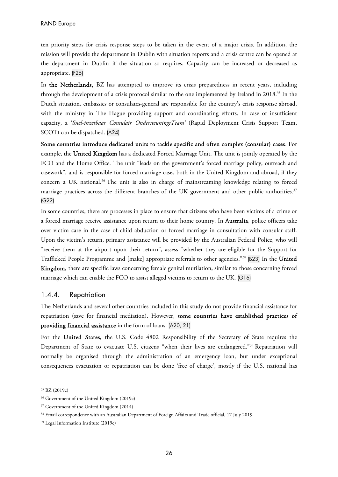ten priority steps for crisis response steps to be taken in the event of a major crisis. In addition, the mission will provide the department in Dublin with situation reports and a crisis centre can be opened at the department in Dublin if the situation so requires. Capacity can be increased or decreased as appropriate. (F25)

In the Netherlands, BZ has attempted to improve its crisis preparedness in recent years, including through the development of a crisis protocol similar to the one implemented by Ireland in 2018.35 In the Dutch situation, embassies or consulates-general are responsible for the country's crisis response abroad, with the ministry in The Hague providing support and coordinating efforts. In case of insufficient capacity, a '*Snel-inzetbaar Consulair OndersteuningsTeam'* (Rapid Deployment Crisis Support Team, SCOT) can be dispatched. (A24)

Some countries introduce dedicated units to tackle specific and often complex (consular) cases. For example, the United Kingdom has a dedicated Forced Marriage Unit. The unit is jointly operated by the FCO and the Home Office. The unit "leads on the government's forced marriage policy, outreach and casework", and is responsible for forced marriage cases both in the United Kingdom and abroad, if they concern a UK national.<sup>36</sup> The unit is also in charge of mainstreaming knowledge relating to forced marriage practices across the different branches of the UK government and other public authorities.<sup>37</sup> (G22)

In some countries, there are processes in place to ensure that citizens who have been victims of a crime or a forced marriage receive assistance upon return to their home country. In Australia, police officers take over victim care in the case of child abduction or forced marriage in consultation with consular staff. Upon the victim's return, primary assistance will be provided by the Australian Federal Police, who will "receive them at the airport upon their return", assess "whether they are eligible for the Support for Trafficked People Programme and [make] appropriate referrals to other agencies."38 (B23) In the United Kingdom, there are specific laws concerning female genital mutilation, similar to those concerning forced marriage which can enable the FCO to assist alleged victims to return to the UK. (G16)

#### 1.4.4. Repatriation

The Netherlands and several other countries included in this study do not provide financial assistance for repatriation (save for financial mediation). However, some countries have established practices of providing financial assistance in the form of loans. (A20, 21)

For the United States, the U.S. Code 4802 Responsibility of the Secretary of State requires the Department of State to evacuate U.S. citizens "when their lives are endangered."39 Repatriation will normally be organised through the administration of an emergency loan, but under exceptional consequences evacuation or repatriation can be done 'free of charge', mostly if the U.S. national has

<sup>35</sup> BZ (2019c)

<sup>36</sup> Government of the United Kingdom (2019c)

<sup>&</sup>lt;sup>37</sup> Government of the United Kingdom (2014)

<sup>38</sup> Email correspondence with an Australian Department of Foreign Affairs and Trade official, 17 July 2019.

<sup>39</sup> Legal Information Institute (2019c)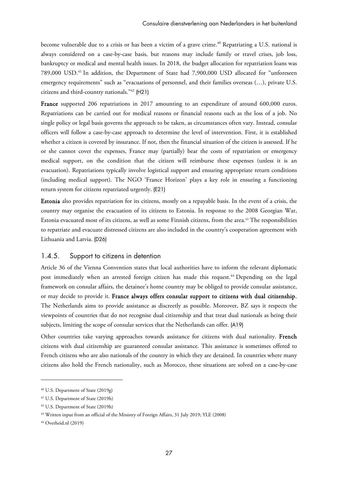become vulnerable due to a crisis or has been a victim of a grave crime.<sup>40</sup> Repatriating a U.S. national is always considered on a case-by-case basis, but reasons may include family or travel crises, job loss, bankruptcy or medical and mental health issues. In 2018, the budget allocation for repatriation loans was 789,000 USD.41 In addition, the Department of State had 7,900,000 USD allocated for "unforeseen emergency requirements" such as "evacuations of personnel, and their families overseas (…), private U.S. citizens and third-country nationals."42 (H21)

France supported 206 repatriations in 2017 amounting to an expenditure of around 600,000 euros. Repatriations can be carried out for medical reasons or financial reasons such as the loss of a job. No single policy or legal basis governs the approach to be taken, as circumstances often vary. Instead, consular officers will follow a case-by-case approach to determine the level of intervention. First, it is established whether a citizen is covered by insurance. If not, then the financial situation of the citizen is assessed. If he or she cannot cover the expenses, France may (partially) bear the costs of repatriation or emergency medical support, on the condition that the citizen will reimburse these expenses (unless it is an evacuation). Repatriations typically involve logistical support and ensuring appropriate return conditions (including medical support). The NGO 'France Horizon' plays a key role in ensuring a functioning return system for citizens repatriated urgently. (E21)

Estonia also provides repatriation for its citizens, mostly on a repayable basis. In the event of a crisis, the country may organise the evacuation of its citizens to Estonia. In response to the 2008 Georgian War, Estonia evacuated most of its citizens, as well as some Finnish citizens, from the area.43 The responsibilities to repatriate and evacuate distressed citizens are also included in the country's cooperation agreement with Lithuania and Latvia. (D26)

#### 1.4.5. Support to citizens in detention

Article 36 of the Vienna Convention states that local authorities have to inform the relevant diplomatic post immediately when an arrested foreign citizen has made this request.<sup>44</sup> Depending on the legal framework on consular affairs, the detainee's home country may be obliged to provide consular assistance, or may decide to provide it. France always offers consular support to citizens with dual citizenship. The Netherlands aims to provide assistance as discreetly as possible. Moreover, BZ says it respects the viewpoints of countries that do not recognise dual citizenship and that treat dual nationals as being their subjects, limiting the scope of consular services that the Netherlands can offer. (A19)

Other countries take varying approaches towards assistance for citizens with dual nationality. French citizens with dual citizenship are guaranteed consular assistance. This assistance is sometimes offered to French citizens who are also nationals of the country in which they are detained. In countries where many citizens also hold the French nationality, such as Morocco, these situations are solved on a case-by-case

<sup>40</sup> U.S. Department of State (2019g)

<sup>41</sup> U.S. Department of State (2019h)

<sup>42</sup> U.S. Department of State (2019h)

<sup>43</sup> Written input from an official of the Ministry of Foreign Affairs, 31 July 2019; YLE (2008)

<sup>44</sup> Overheid.nl (2019)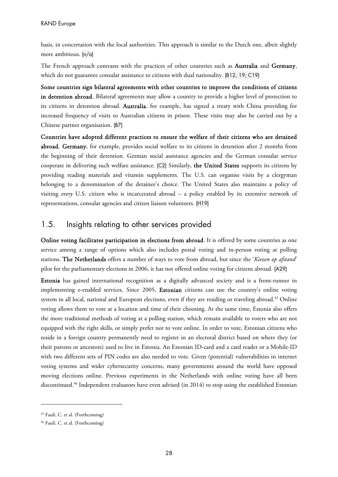basis, in concertation with the local authorities. This approach is similar to the Dutch one, albeit slightly more ambitious. (n/a)

The French approach contrasts with the practices of other countries such as **Australia** and Germany, which do not guarantee consular assistance to citizens with dual nationality. (B12, 19; C19)

Some countries sign bilateral agreements with other countries to improve the conditions of citizens in detention abroad. Bilateral agreements may allow a country to provide a higher level of protection to its citizens in detention abroad. Australia, for example, has signed a treaty with China providing for increased frequency of visits to Australian citizens in prison. These visits may also be carried out by a Chinese partner organisation. (B7)

Countries have adopted different practices to ensure the welfare of their citizens who are detained abroad. Germany, for example, provides social welfare to its citizens in detention after 2 months from the beginning of their detention. German social assistance agencies and the German consular service cooperate in delivering such welfare assistance. (C2) Similarly, the United States supports its citizens by providing reading materials and vitamin supplements. The U.S. can organise visits by a clergyman belonging to a denomination of the detainee's choice. The United States also maintains a policy of visiting *every* U.S. citizen who is incarcerated abroad – a policy enabled by its extensive network of representations, consular agencies and citizen liaison volunteers. (H19)

## 1.5. Insights relating to other services provided

Online voting facilitates participation in elections from abroad. It is offered by some countries as one service among a range of options which also includes postal voting and in-person voting at polling stations. The Netherlands offers a number of ways to vote from abroad, but since the '*Kiezen op afstand*' pilot for the parliamentary elections in 2006, it has not offered online voting for citizens abroad. (A29)

Estonia has gained international recognition as a digitally advanced society and is a front-runner in implementing e-enabled services. Since 2005, Estonian citizens can use the country's online voting system in all local, national and European elections, even if they are residing or traveling abroad.<sup>45</sup> Online voting allows them to vote at a location and time of their choosing. At the same time, Estonia also offers the more traditional methods of voting at a polling station, which remain available to voters who are not equipped with the right skills, or simply prefer not to vote online. In order to vote, Estonian citizens who reside in a foreign country permanently need to register in an electoral district based on where they (or their parents or ancestors) used to live in Estonia. An Estonian ID-card and a card reader or a Mobile-ID with two different sets of PIN codes are also needed to vote. Given (potential) vulnerabilities in internet voting systems and wider cybersecurity concerns, many governments around the world have opposed moving elections online. Previous experiments in the Netherlands with online voting have all been discontinued.46 Independent evaluators have even advised (in 2014) to stop using the established Estonian

<sup>45</sup> Faulí, C. et al. (Forthcoming)

<sup>46</sup> Faulí, C. et al. (Forthcoming)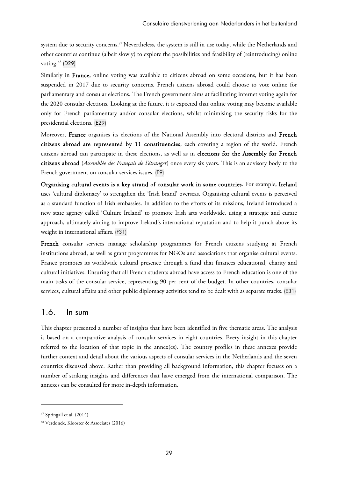system due to security concerns.<sup>47</sup> Nevertheless, the system is still in use today, while the Netherlands and other countries continue (albeit slowly) to explore the possibilities and feasibility of (reintroducing) online voting.<sup>48</sup> (D29)

Similarly in France, online voting was available to citizens abroad on some occasions, but it has been suspended in 2017 due to security concerns. French citizens abroad could choose to vote online for parliamentary and consular elections. The French government aims at facilitating internet voting again for the 2020 consular elections. Looking at the future, it is expected that online voting may become available only for French parliamentary and/or consular elections, whilst minimising the security risks for the presidential elections. (E29)

Moreover, France organises its elections of the National Assembly into electoral districts and French citizens abroad are represented by 11 constituencies, each covering a region of the world. French citizens abroad can participate in these elections, as well as in elections for the Assembly for French citizens abroad (*Assemblée des Français de l'étranger*) once every six years. This is an advisory body to the French government on consular services issues. (E9)

Organising cultural events is a key strand of consular work in some countries. For example, Ireland uses 'cultural diplomacy' to strengthen the 'Irish brand' overseas. Organising cultural events is perceived as a standard function of Irish embassies. In addition to the efforts of its missions, Ireland introduced a new state agency called 'Culture Ireland' to promote Irish arts worldwide, using a strategic and curate approach, ultimately aiming to improve Ireland's international reputation and to help it punch above its weight in international affairs. (F31)

French consular services manage scholarship programmes for French citizens studying at French institutions abroad, as well as grant programmes for NGOs and associations that organise cultural events. France promotes its worldwide cultural presence through a fund that finances educational, charity and cultural initiatives. Ensuring that all French students abroad have access to French education is one of the main tasks of the consular service, representing 90 per cent of the budget. In other countries, consular services, cultural affairs and other public diplomacy activities tend to be dealt with as separate tracks. (E31)

## 1.6. In sum

This chapter presented a number of insights that have been identified in five thematic areas. The analysis is based on a comparative analysis of consular services in eight countries. Every insight in this chapter referred to the location of that topic in the annex(es). The country profiles in these annexes provide further context and detail about the various aspects of consular services in the Netherlands and the seven countries discussed above. Rather than providing all background information, this chapter focuses on a number of striking insights and differences that have emerged from the international comparison. The annexes can be consulted for more in-depth information.

<sup>47</sup> Springall et al. (2014)

<sup>48</sup> Verdonck, Klooster & Associates (2016)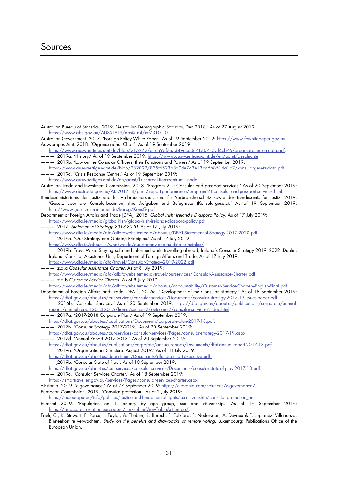## Sources

Australian Bureau of Statistics. 2019. 'Australian Demographic Statistics, Dec 2018.' As of 27 August 2019: [https://www.abs.gov.au/AUSSTATS/abs@.nsf/mf/3101.0.](https://www.abs.gov.au/AUSSTATS/abs@.nsf/mf/3101.0)

Australian Government. 2017. 'Foreign Policy White Paper.' As of 19 September 2019: [https://www.fpwhitepaper.gov.au.](https://www.fpwhitepaper.gov.au) Auswartiges Amt. 2018. 'Organisational Chart'. As of 19 September 2019:

[https://www.auswaertiges-amt.de/blob/215272/a1ca96f7e3349eca0c71707153f4cb76/organigramm-en-data.pdf.](https://www.auswaertiges-amt.de/blob/215272/a1ca96f7e3349eca0c71707153f4cb76/organigramm-en-data.pdf) ———. 2019a. 'History.' As of 19 September 2019: [https://www.auswaertiges-amt.de/en/aamt/geschichte.](https://www.auswaertiges-amt.de/en/aamt/geschichte)

- ———. 2019b. 'Law on the Consular Officers, their Functions and Powers.' As of 19 September 2019: <https://www.auswaertiges-amt.de/blob/232092/835fd523b3d0de7a3e13bd6a851da1b7/konsulargesetz-data.pdf>. ———. 2019c. 'Crisis Response Centre.' As of 19 September 2019:
- [https://www.auswaertiges-amt.de/en/aamt/krisenreaktionszentrum1-node.](https://www.auswaertiges-amt.de/en/aamt/krisenreaktionszentrum1-node)
- Australian Trade and Investment Commission. 2018. 'Program 2.1: Consular and passport services.' As of 20 September 2019: [https://www.austrade.gov.au/AR-201718/part-2-report-performance/program-21-consular-and-passport-services.html.](https://www.austrade.gov.au/AR-201718/part-2-report-performance/program-21-consular-and-passport-services.html)

Bundesministeriums der Justiz und fur Verbrauchershutz und fur Verbraucherschutz sowie des Bundesamts fur Justiz. 2019. 'Gesetz uber die Konsularbeamten, ihre Aufgaben und Befugnisse (Konsulargesetz).' As of 19 September 2019: [http://www.gesetze-im-internet.de/konsg/KonsG.pdf.](http://www.gesetze-im-internet.de/konsg/KonsG.pdf)

Department of Foreign Affairs and Trade [DFA]. 2015. Global Irish: Ireland's Diaspora Policy. As of 17 July 2019: <https://www.dfa.ie/media/globalirish/global-irish-irelands-diaspora-policy.pdf>

- ———. 2017. Statement of Strategy 2017-2020. As of 17 July 2019: <https://www.dfa.ie/media/dfa/alldfawebsitemedia/aboutus/DFAT-Statement-of-Strategy-2017-2020.pdf>
- ———. 2019a. 'Our Strategy and Guiding Principles.' As of 17 July 2019: <https://www.dfa.ie/about-us/what-we-do/our-strategy-and-guiding-principles/>

———. 2019b. TravelWise: Staying safe and informed while travelling abroad, Ireland's Consular Strategy 2019–2022. Dublin, Ireland: Consular Assistance Unit, Department of Foreign Affairs and Trade. As of 17 July 2019: <https://www.dfa.ie/media/dfa/travel/Consular-Strategy-2019-2022.pdf>

———. z.d.a Consular Assistance Charter. As of 8 July 2019:

<https://www.dfa.ie/media/dfa/alldfawebsitemedia/travel/ourservices/Consular-Assistance-Charter.pdf> --. z.d.b Customer Service Charter. As of 8 July 2019:

https://www.dfa.ie/media/dfa/alldfawebsitemedia/aboutus/accountability/Customer-Service-Charter--English-Final.pdf

- Department of Foreign Affairs and Trade [DFAT]. 2016a. 'Development of the Consular Strategy.' As of 18 September 2019: <https://dfat.gov.au/about-us/our-services/consular-services/Documents/consular-strategy-2017-19-issues-paper.pdf>
- ———. 2016b. 'Consular Services.' As of 20 September 2019: [https://dfat.gov.au/about-us/publications/corporate/annual](https://dfat.gov.au/about-us/publications/corporate/annual-reports/annual-report-2014-2015/home/section-2/outcome-2/consular-services/index.html)[reports/annual-report-2014-2015/home/section-2/outcome-2/consular-services/index.html.](https://dfat.gov.au/about-us/publications/corporate/annual-reports/annual-report-2014-2015/home/section-2/outcome-2/consular-services/index.html)
- ———. 2017a. '2017-2018 Corporate Plan.' As of 19 September 2019:
- [https://dfat.gov.au/about-us/publications/Documents/corporate-plan-2017-18.pdf.](https://dfat.gov.au/about-us/publications/Documents/corporate-plan-2017-18.pdf)
- ———. 2017b. 'Consular Strategy 2017-2019.' As of 20 September 2019:

<https://dfat.gov.au/about-us/our-services/consular-services/Pages/consular-strategy-2017-19.aspx> ———. 2017d. 'Annual Report 2017-2018.' As of 20 September 2019:

[https://dfat.gov.au/about-us/publications/corporate/annual-reports/Documents/dfat-annual-report-2017-18.pdf.](https://dfat.gov.au/about-us/publications/corporate/annual-reports/Documents/dfat-annual-report-2017-18.pdf) ———. 2019a. 'Organisational Structure: August 2019.' As of 18 July 2019:

- [https://dfat.gov.au/about-us/department/Documents/dfat-org-chart-executive.pdf.](https://dfat.gov.au/about-us/department/Documents/dfat-org-chart-executive.pdf)
- ———. 2019b. 'Consular State of Play'. As of 18 September 2019:
- [https://dfat.gov.au/about-us/our-services/consular-services/Documents/consular-state-of-play-2017-18.pdf.](https://dfat.gov.au/about-us/our-services/consular-services/Documents/consular-state-of-play-2017-18.pdf)
- ———. 2019c. 'Consular Services Charter.' As of 18 September 2019:

[https://smartraveller.gov.au/services/Pages/consular-services-charter.aspx.](https://smartraveller.gov.au/services/Pages/consular-services-charter.aspx) 

e-Estonia. 2019. 'e-governance.' As of 27 September 2019: <https://e-estonia.com/solutions/e-governance/>

European Commission. 2019. 'Consular protection'. As of 2 July 2019:

[https://ec.europa.eu/info/policies/justice-and-fundamental-rights/eu-citizenship/consular-protection\\_en](https://ec.europa.eu/info/policies/justice-and-fundamental-rights/eu-citizenship/consular-protection_en)

Eurostat 2019. 'Population on 1 January by age group, sex and citizenship.' As of 19 September 2019: [https://appsso.eurostat.ec.europa.eu/nui/submitViewTableAction.do/.](https://appsso.eurostat.ec.europa.eu/nui/submitViewTableAction.do/)

Faulí, C., K. Stewart, F. Porcu, J. Taylor, A. Theben, B. Baruch, F. Folkford, F. Nederveen, A. Devaux & F. Lupiáñez- Villanueva. Binnenkort te verwachten. Study on the benefits and drawbacks of remote voting. Luxembourg: Publications Office of the European Union.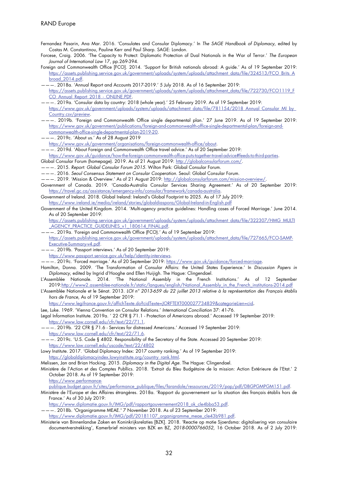- Fernandez Pasarin, Ana Mar. 2016. 'Consulates and Consular Diplomacy.' In The SAGE Handbook of Diplomacy, edited by Costas M. Constantinou, Pauline Kerr and Paul Sharp. SAGE: London.
- Forcese, Craig. 2006. 'The Capacity to Protect: Diplomatic Protection of Dual Nationals in the War of Terror.' The European Journal of International Law 17, pp.269-394.
- Foreign and Commonwealth Office [FCO]. 2014. 'Support for British nationals abroad: A guide.' As of 19 September 2019: [https://assets.publishing.service.gov.uk/government/uploads/system/uploads/attachment\\_data/file/324513/FCO\\_Brits\\_A](https://assets.publishing.service.gov.uk/government/uploads/system/uploads/attachment_data/file/324513/FCO_Brits_Abroad_2014.pdf) broad\_2014.pdf.
- ———. 2018a. 'Annual Report and Accounts 2017-2019.' 5 July 2018. As of 16 September 2019: [https://assets.publishing.service.gov.uk/government/uploads/system/uploads/attachment\\_data/file/722730/FCO1119\\_F](https://assets.publishing.service.gov.uk/government/uploads/system/uploads/attachment_data/file/722730/FCO1119_FCO_Annual_Report_2018_-_ONLINE.PDF) CO\_Annual\_Report\_2018\_-\_ONLINE.PDF.
- ———. 2019a. 'Consular data by country: 2018 (whole year).' 25 February 2019. As of 19 September 2019: https://www.gov.uk/government/uploads/system/uploads/attachment\_data/file/781154/2018\_Annual\_Consular\_MI\_by Country.csv/preview.
- ———. 2019b. 'Foreign and Commonwealth Office single departmental plan.' 27 June 2019. As of 19 September 2019: [https://www.gov.uk/government/publications/foreign-and-commonwealth-office-single-departmental-plan/foreign-and](https://www.gov.uk/government/publications/foreign-and-commonwealth-office-single-departmental-plan/foreign-and-commonwealth-office-single-departmental-plan-2019-20)commonwealth-office-single-departmental-plan-2019-20.
- ———. 2019c. 'About us.' As of 28 August 2019

[https://www.gov.uk/government/organisations/foreign-commonwealth-office/about.](https://www.gov.uk/government/organisations/foreign-commonwealth-office/about)

- ———. 2019d. 'About Foreign and Commonwealth Office travel advice.' As of 20 September 2019: [https://www.gov.uk/guidance/how-the-foreign-commonwealth-office-puts-together-travel-advice#feeds-to-third-parties.](https://www.gov.uk/guidance/how-the-foreign-commonwealth-office-puts-together-travel-advice#feeds-to-third-parties)
- Global Consular Forum (homepage). 2019. As of 21 August 2019: <http://globalconsularforum.com/>.
- ———. 2015. Report: Global Consular Forum 2015. Wilton Park: Global Consular Forum.
- ———. 2016. Seoul Consensus Statement on Consular Cooperation. Seoul: Global Consular Forum.
- ———. 2019. 'Mission & Overview.' As of 21 August 2019: [http://globalconsularforum.com/mission-overview/.](http://globalconsularforum.com/mission-overview/)
- Government of Canada. 2019. 'Canada-Australia Consular Services Sharing Agreement.' As of 20 September 2019: [https://travel.gc.ca/assistance/emergency-info/consular/framework/canada-australia.](https://travel.gc.ca/assistance/emergency-info/consular/framework/canada-australia)
- Government of Ireland. 2018. Global Ireland: Ireland's Global Footprint to 2025. As of 17 July 2019: <https://www.ireland.ie/media/ireland/stories/globaldiaspora/Global-Ireland-in-English.pdf>
- Government of the United Kingdom. 2014. 'Multi-agency practice guidelines: Handling cases of Forced Marriage.' June 2014. As of 20 September 2019:

[https://assets.publishing.service.gov.uk/government/uploads/system/uploads/attachment\\_data/file/322307/HMG\\_MULTI](https://assets.publishing.service.gov.uk/government/uploads/system/uploads/attachment_data/file/322307/HMG_MULTI_AGENCY_PRACTICE_GUIDELINES_v1_180614_FINAL.pdf) AGENCY PRACTICE GUIDELINES v1\_180614\_FINAL.pdf.

- ———. 2019a. 'Foreign and Commonwealth Office (FCO).' As of 19 September 2019: [https://assets.publishing.service.gov.uk/government/uploads/system/uploads/attachment\\_data/file/727665/FCO-SAMP-](https://assets.publishing.service.gov.uk/government/uploads/system/uploads/attachment_data/file/727665/FCO-SAMP-Executive-Summary-v4.pdf)Executive-Summary-v4.pdf.
- ———. 2019b. 'Passport interviews.' As of 20 September 2019:
	- [https://www.passport.service.gov.uk/help/identity-interviews.](https://www.passport.service.gov.uk/help/identity-interviews)
- – . 2019c. 'Forced marriage.' As of 20 September 2019: <u>https://www.gov.uk/guidance/forced-marriage</u>.
- Hamilton, Donna. 2009. 'The Transformation of Consular Affairs: the United States Experience.' In Discussion Papers in Diplomacy, edited by Ingrid d'Hooghe and Ellen Huijigh. The Hague: Clingendael.
- L'Assemblée Nationale. 2014. 'The National Assembly in the French Institutions.' As of 12 September 2019[:http://www2.assemblee-nationale.fr/static/langues/english/National\\_Assembly\\_in\\_the\\_French\\_institutions-2014.pdf](http://www2.assemblee-nationale.fr/static/langues/english/National_Assembly_in_the_French_institutions-2014.pdf)
- L'Assemblée Nationale et le Sénat. 2013. LOI n° 2013-659 du 22 juillet 2013 relative à la représentation des Français établis hors de France, As of 19 September 2019:

<https://www.legifrance.gouv.fr/affichTexte.do?cidTexte=JORFTEXT000027734839&categorieLien=cid>.

- Lee, Luke. 1969. 'Vienna Convention on Consular Relations.' International Conciliation 37: 41-76.
- Legal Information Institute. 2019a. ' 22 CFR § 71.1 Protection of Americans abroad.' Accessed 19 September 2019: [https://www.law.cornell.edu/cfr/text/22/71.1.](https://www.law.cornell.edu/cfr/text/22/71.1)
- ———. 2019b. '22 CFR § 71.6 Services for distressed Americans.' Accessed 19 September 2019: [https://www.law.cornell.edu/cfr/text/22/71.6.](https://www.law.cornell.edu/cfr/text/22/71.6)
- ———. 2019c. 'U.S. Code § 4802. Responsibility of the Secretary of the State. Accessed 20 September 2019: <https://www.law.cornell.edu/uscode/text/22/4802>
- Lowy Institute. 2017. 'Global Diplomacy Index: 2017 country ranking.' As of 19 September 2019: [https://globaldiplomacyindex.lowyinstitute.org/country\\_rank.html.](https://globaldiplomacyindex.lowyinstitute.org/country_rank.html)

Melissen, Jan and Brian Hocking. 2015. Diplomacy in the Digital Age. The Hague: Clingendael.

Ministère de l'Action et des Comptes Publlics. 2018. 'Extrait du Bleu Budgétaire de la mission: Action Extérieure de l'Etat.' 2 October 2018. As of 19 September 2019:

https://www.performance-

[publique.budget.gouv.fr/sites/performance\\_publique/files/farandole/ressources/2019/pap/pdf/DBGPGMPGM151.pdf.](https://www.performance-publique.budget.gouv.fr/sites/performance_publique/files/farandole/ressources/2019/pap/pdf/DBGPGMPGM151.pdf)

Ministère de l'Europe et des Affaires étrangères. 2018a. 'Rapport du gouvernement sur la situation des français établis hors de France.' As of 30 July 2019:

https://www.diplomatie.gouv.fr/IMG/pdf/rapportgouvernement2018\_ok\_cle4bba53.pdf.

———. 2018b. 'Organigramme MEAE.' 7 November 2018. As of 23 September 2019:

https://www.diplomatie.gouv.fr/IMG/pdf/20181107\_organigramme\_meae\_cle43b981.pdf.

Ministerie van Binnenlandse Zaken en Koninkrijksrelaties [BZK]. 2018. 'Reactie op motie Sjoerdsma: digitalisering van consulaire documentverstrekking', Kamerbrief ministers van BZK en BZ, 2018-0000766052, 16 October 2018. As of 2 July 2019: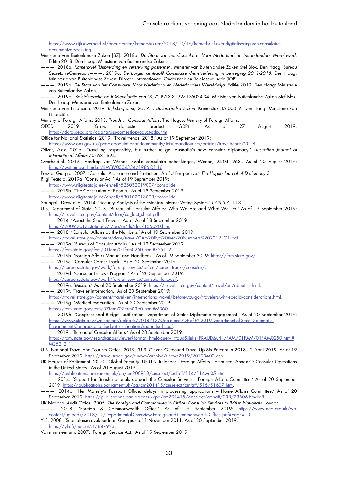[https://www.rijksoverheid.nl/documenten/kamerstukken/2018/10/16/kamerbrief-over-digitalisering-van-consulaire](https://www.rijksoverheid.nl/documenten/kamerstukken/2018/10/16/kamerbrief-over-digitalisering-van-consulaire-documentverstrekking)documentverstrekking.

- Ministerie van Buitenlandse Zaken [BZ]. 2018a. De Staat van het Consulaire: Voor Nederland en Nederlanders Wereldwijd. Editie 2018. Den Haag: Ministerie van Buitenlandse Zaken.
- .<br>- . 2018b. *Kamerbrief 'Uitbreiding en versterking postennet'*. Minister van Buitenlandse Zaken Stef Blok. Den Haag: Bureau Secretaris-Generaal.———. 2019a. De burger centraal? Consulaire dienstverlening in beweging 2011-2018. Den Haag: Ministerie van Buitenlandse Zaken, Directie Internationaal Onderzoek en Beleidsevaluatie (IOB).
- ———. 2019b. De Staat van het Consulaire: Voor Nederland en Nederlanders Wereldwijd. Editie 2019. Den Haag: Ministerie van Buitenlandse Zaken.
- ———. 2019c. 'Beleidsreactie op IOB-evaluatie van DCV'. BZDOC-927126024-34. Minister van Buitenlandse Zaken Stef Blok. Den Haag: Ministerie van Buitenlandse Zaken.
- Ministerie van Financiën. 2019. Rijksbegroting 2019: v Buitenlandse Zaken. Kamerstuk 35 000 V. Den Haag: Ministerie van Financiën.
- Ministry of Foreign Affairs. 2018. Trends in Consular Affairs. The Hague: Ministry of Foreign Affairs.
- OECD. 2019. 'Gross domestic product (GDP).' As of 27 August 2019: [https://data.oecd.org/gdp/gross-domestic-product-gdp.htm.](https://data.oecd.org/gdp/gross-domestic-product-gdp.htm)
- Office for National Statistics. 2019. 'Travel trends: 2018.' As of 19 September 2019:

[https://www.ons.gov.uk/peoplepopulationandcommunity/leisureandtourism/articles/traveltrends/2018.](https://www.ons.gov.uk/peoplepopulationandcommunity/leisureandtourism/articles/traveltrends/2018)

- Oliver, Alex. 2016. 'Travelling responsibly, but further to go: Australia's new consular diplomacy.' Australian Journal of International Affairs 70: 681-694.
- Overheid.nl. 2019. 'Verdrag van Wenen inzake consulaire betrekkingen, Wenen, 24-04-1963'. As of 20 August 2019: <https://wetten.overheid.nl/BWBV0004334/1986-01-16>

Porzio, Giorgio. 2007. 'Consular Assistance and Protection: An EU Perspective.' The Hague Journal of Diplomacy 3.

- Riigi Teataja. 2019a. 'Consular Act.' As of 19 September 2019:
- <https://www.riigiteataja.ee/en/eli/525032019007/consolide>.
- ———. 2019b. 'The Constitution of Estonia.' As of 19 September 2019:
- <https://www.riigiteataja.ee/en/eli/530102013003/consolide>.
- Springall, Drew et al. 2014. 'Security Analysis of the Estonian Internet Voting System.' CCS 3-7, 1-13.
- U.S. Department of State. 2013. 'Bureau of Consular Affairs: Who We Are and What We Do.' As of 19 September 2019: [https://travel.state.gov/content/dam/ca\\_fact\\_sheet.pdf.](https://travel.state.gov/content/dam/ca_fact_sheet.pdf)
- ———. 2014. 'About the Smart Traveler App.' As of 18 September 2019:
	- [https://2009-2017.state.gov/r/pa/ei/rls/dos/165020.htm.](https://2009-2017.state.gov/r/pa/ei/rls/dos/165020.htm)
- ———. 2018. 'Consular Affairs by the Numbers.' As of 19 September 2019:
- [https://travel.state.gov/content/dam/travel/CA%20By%20the%20Numbers%202019\\_Q1.pdf.](https://travel.state.gov/content/dam/travel/CA%20By%20the%20Numbers%202019_Q1.pdf)
- ———. 2019a. 'Bureau of Consular Affairs.' As of 19 September 2019:
- [https://fam.state.gov/fam/01fam/01fam0250.html#X251\\_2.](https://fam.state.gov/fam/01fam/01fam0250.html#X251_2)
- ———. 2019b. 'Foreign Affairs Manual and Handbook.' As of 19 September 2019: <https://fam.state.gov/>.
- ———. 2019c. 'Consular Career Track.' As of 20 September 2019:
- [https://careers.state.gov/work/foreign-service/officer/career-tracks/consular/.](https://careers.state.gov/work/foreign-service/officer/career-tracks/consular/)
- ———. 2019d. 'Consular Fellows Program.' As of 20 September 2019:
- <https://careers.state.gov/work/foreign-service/consular-fellows/>.
- ——. 2019e. 'Mission.' As of 20 September 2019: [https://travel.state.gov/content/travel/en/about-us.html.](https://travel.state.gov/content/travel/en/about-us.html)
- ———. 2019f. 'Traveler Information.' As of 20 September 2019:
- [https://travel.state.gov/content/travel/en/international-travel/before-you-go/travelers-with-special-considerations.html.](https://travel.state.gov/content/travel/en/international-travel/before-you-go/travelers-with-special-considerations.html)
- ———. 2019g. 'Medical evacuation.' As of 20 September 2019:
- [https://fam.state.gov/fam/07fam/07fam0360.html#M360.](https://fam.state.gov/fam/07fam/07fam0360.html#M360)
- ———. 2019h. 'Congressional Budget Justification. Department of State: Diplomatic Engagement.' As of 20 September 2019: [https://www.state.gov/wp-content/uploads/2018/12/One-piece-PDF-of-FY-2019-Department-of-State-Diplomatic-](https://www.state.gov/wp-content/uploads/2018/12/One-piece-PDF-of-FY-2019-Department-of-State-Diplomatic-Engagement-Congressional-Budget-Justification-Appendix-1-.pdf)Engagement-Congressional-Budget-Justification-Appendix-1-.pdf.
- ———. 2019i. 'Bureau of Consular Affairs.' As of 23 September 2019: [https://fam.state.gov/searchapps/viewer?format=html&query=fraud&links=FRAUD&url=/FAM/01FAM/01FAM0250.html#](https://fam.state.gov/searchapps/viewer?format=html&query=fraud&links=FRAUD&url=/FAM/01FAM/01FAM0250.html#M252_2_1) M252\_2\_1.
- U.S. National Travel and Tourism Office. 2019. 'U.S. Citizen Outbound Travel Up Six Percent in 2018.' 2 April 2019. As of 19 September 2019: [https://travel.trade.gov/tinews/archive/tinews2019/20190402.asp.](https://travel.trade.gov/tinews/archive/tinews2019/20190402.asp)
- UK Houses of Parliament. 2010. 'Global Security: UK-U.S. Relations Foreign Affairs Committee. Annex C: Consular Operations in the United States.' As of 20 August 2019:
	- [https://publications.parliament.uk/pa/cm200910/cmselect/cmfaff/114/114we05.htm.](https://publications.parliament.uk/pa/cm200910/cmselect/cmfaff/114/114we05.htm)
- ———. 2014. 'Support for British nationals abroad: the Consular Service Foreign Affairs Committee.' As of 20 September 2019: [https://publications.parliament.uk/pa/cm201415/cmselect/cmfaff/516/51607.htm.](https://publications.parliament.uk/pa/cm201415/cmselect/cmfaff/516/51607.htm)
- ———. 2014b. 'Her Majesty's Passport Office: delays in processing applications Home Affairs Committee.' As of 20 September 2019: [https://publications.parliament.uk/pa/cm201415/cmselect/cmhaff/238/23806.htm#a8.](https://publications.parliament.uk/pa/cm201415/cmselect/cmhaff/238/23806.htm#a8)
- UK National Audit Office. 2005. The Foreign and Commonwealth Office: Consular Services to British Nationals. London.
- ———. 2018. 'Foreign & Commonwealth Office.' As of 19 September 2019: [https://www.nao.org.uk/wp](https://www.nao.org.uk/wp-content/uploads/2018/11/Departmental-Overview-Foreign-and-Commonwealth-Office.pdf#page=10)[content/uploads/2018/11/Departmental-Overview-Foreign-and-Commonwealth-Office.pdf#page=10.](https://www.nao.org.uk/wp-content/uploads/2018/11/Departmental-Overview-Foreign-and-Commonwealth-Office.pdf#page=10)
- YLE. 2008. 'Suomalaisia evakuoidaan Georgiasta.' 1 November 2011. As of 20 September 2019: [https://yle.fi/uutiset/3-5847923.](https://yle.fi/uutiset/3-5847923)
- Valisministeerium. 2007. 'Foreign Service Act.' As of 19 September 2019: